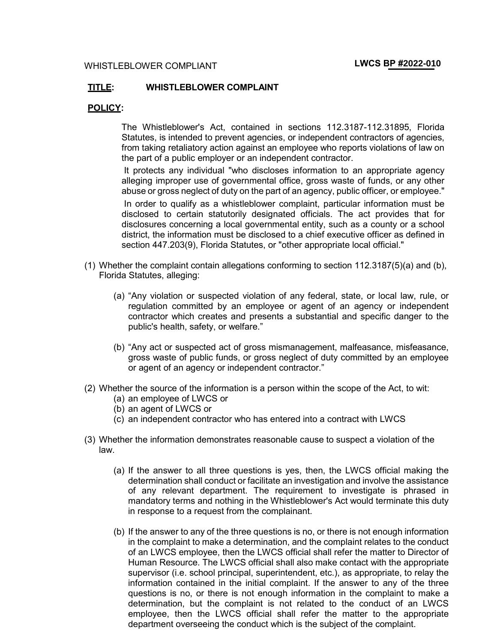## **TITLE: WHISTLEBLOWER COMPLAINT**

## **POLICY:**

The Whistleblower's Act, contained in sections 112.3187-112.31895, Florida Statutes, is intended to prevent agencies, or independent contractors of agencies, from taking retaliatory action against an employee who reports violations of law on the part of a public employer or an independent contractor.

It protects any individual "who discloses information to an appropriate agency alleging improper use of governmental office, gross waste of funds, or any other abuse or gross neglect of duty on the part of an agency, public officer, or employee." In order to qualify as a whistleblower complaint, particular information must be disclosed to certain statutorily designated officials. The act provides that for disclosures concerning a local governmental entity, such as a county or a school district, the information must be disclosed to a chief executive officer as defined in section 447.203(9), Florida Statutes, or "other appropriate local official."

- (1) Whether the complaint contain allegations conforming to section 112.3187(5)(a) and (b), Florida Statutes, alleging:
	- (a) "Any violation or suspected violation of any federal, state, or local law, rule, or regulation committed by an employee or agent of an agency or independent contractor which creates and presents a substantial and specific danger to the public's health, safety, or welfare."
	- (b) "Any act or suspected act of gross mismanagement, malfeasance, misfeasance, gross waste of public funds, or gross neglect of duty committed by an employee or agent of an agency or independent contractor."
- (2) Whether the source of the information is a person within the scope of the Act, to wit:
	- (a) an employee of LWCS or
	- (b) an agent of LWCS or
	- (c) an independent contractor who has entered into a contract with LWCS
- (3) Whether the information demonstrates reasonable cause to suspect a violation of the law.
	- (a) If the answer to all three questions is yes, then, the LWCS official making the determination shall conduct or facilitate an investigation and involve the assistance of any relevant department. The requirement to investigate is phrased in mandatory terms and nothing in the Whistleblower's Act would terminate this duty in response to a request from the complainant.
	- (b) If the answer to any of the three questions is no, or there is not enough information in the complaint to make a determination, and the complaint relates to the conduct of an LWCS employee, then the LWCS official shall refer the matter to Director of Human Resource. The LWCS official shall also make contact with the appropriate supervisor (i.e. school principal, superintendent, etc.), as appropriate, to relay the information contained in the initial complaint. If the answer to any of the three questions is no, or there is not enough information in the complaint to make a determination, but the complaint is not related to the conduct of an LWCS employee, then the LWCS official shall refer the matter to the appropriate department overseeing the conduct which is the subject of the complaint.